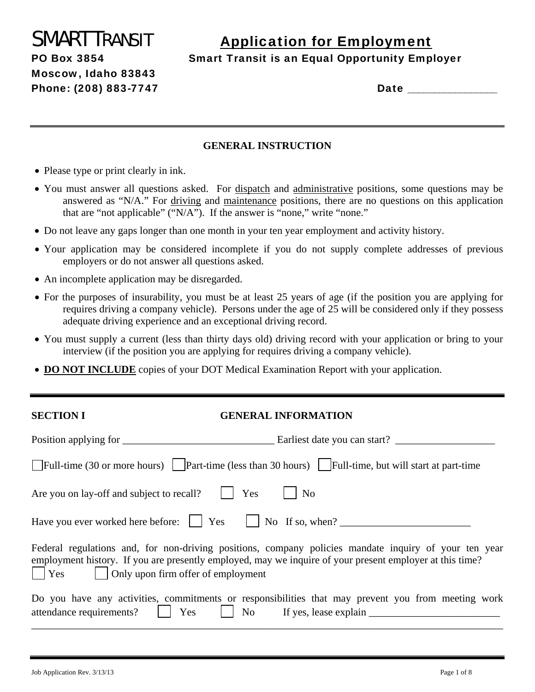Moscow, Idaho 83843

# SMART TRANSIT Application for Employment

PO Box 3854 Smart Transit is an Equal Opportunity Employer

Phone: (208) 883-7747 Date \_\_\_\_\_\_\_\_\_\_\_\_\_\_\_\_\_

### **GENERAL INSTRUCTION**

- Please type or print clearly in ink.
- You must answer all questions asked. For dispatch and administrative positions, some questions may be answered as "N/A." For driving and maintenance positions, there are no questions on this application that are "not applicable"  $\overline{(\text{``N/A''})}$ . If the answer is "none," write "none."
- Do not leave any gaps longer than one month in your ten year employment and activity history.
- Your application may be considered incomplete if you do not supply complete addresses of previous employers or do not answer all questions asked.
- An incomplete application may be disregarded.
- For the purposes of insurability, you must be at least 25 years of age (if the position you are applying for requires driving a company vehicle). Persons under the age of 25 will be considered only if they possess adequate driving experience and an exceptional driving record.
- You must supply a current (less than thirty days old) driving record with your application or bring to your interview (if the position you are applying for requires driving a company vehicle).
- **DO NOT INCLUDE** copies of your DOT Medical Examination Report with your application.

### **SECTION I GENERAL INFORMATION**

| Full-time (30 or more hours) $\vert$ Part-time (less than 30 hours) $\vert$ Full-time, but will start at part-time                                                                                                                                                                          |                |
|---------------------------------------------------------------------------------------------------------------------------------------------------------------------------------------------------------------------------------------------------------------------------------------------|----------------|
| Are you on lay-off and subject to recall?     Yes                                                                                                                                                                                                                                           | N <sub>0</sub> |
| Have you ever worked here before: $\parallel$ Yes $\parallel$ No If so, when?                                                                                                                                                                                                               |                |
| Federal regulations and, for non-driving positions, company policies mandate inquiry of your ten year<br>employment history. If you are presently employed, may we inquire of your present employer at this time?<br>$\vert$ $\vert$ Yes $\vert$ $\vert$ Only upon firm offer of employment |                |
| Do you have any activities, commitments or responsibilities that may prevent you from meeting work<br>attendance requirements? 1 Yes 1 No If yes, lease explain 1 1 No 1 Am attendance requirements? 1 Yes 1 No 1 Ryes, lease explain                                                       |                |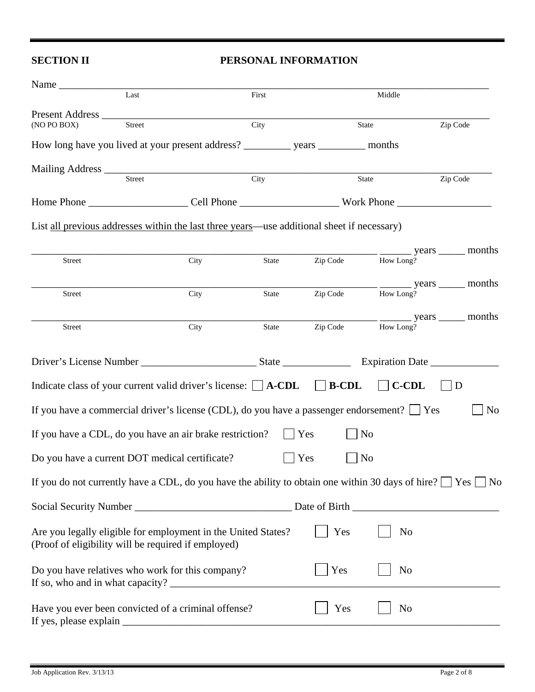### **SECTION II PERSONAL INFORMATION**

| Name                                                |               |                                                                                                                        |       |          |                    |                                                                                                                                                                                                                                                                                                                                                                                                                                   |
|-----------------------------------------------------|---------------|------------------------------------------------------------------------------------------------------------------------|-------|----------|--------------------|-----------------------------------------------------------------------------------------------------------------------------------------------------------------------------------------------------------------------------------------------------------------------------------------------------------------------------------------------------------------------------------------------------------------------------------|
|                                                     | Last          |                                                                                                                        | First |          | Middle             |                                                                                                                                                                                                                                                                                                                                                                                                                                   |
| Present Address                                     |               |                                                                                                                        |       |          |                    |                                                                                                                                                                                                                                                                                                                                                                                                                                   |
| (NO PO BOX)                                         | <b>Street</b> |                                                                                                                        | City  |          | State              | Zip Code                                                                                                                                                                                                                                                                                                                                                                                                                          |
|                                                     |               |                                                                                                                        |       |          |                    |                                                                                                                                                                                                                                                                                                                                                                                                                                   |
|                                                     |               |                                                                                                                        |       |          |                    |                                                                                                                                                                                                                                                                                                                                                                                                                                   |
|                                                     | Street        |                                                                                                                        | City  |          | State              | Zip Code                                                                                                                                                                                                                                                                                                                                                                                                                          |
|                                                     |               |                                                                                                                        |       |          |                    |                                                                                                                                                                                                                                                                                                                                                                                                                                   |
|                                                     |               | List all previous addresses within the last three years—use additional sheet if necessary)                             |       |          |                    |                                                                                                                                                                                                                                                                                                                                                                                                                                   |
|                                                     |               |                                                                                                                        |       | Zip Code | How Long?          | <u>__</u> _________ years _______ months                                                                                                                                                                                                                                                                                                                                                                                          |
| Street                                              |               | City                                                                                                                   | State |          |                    |                                                                                                                                                                                                                                                                                                                                                                                                                                   |
| <b>Street</b>                                       |               | City                                                                                                                   | State | Zip Code | How Long?          | $\frac{1}{\sqrt{1-\frac{1}{\sqrt{1-\frac{1}{\sqrt{1-\frac{1}{\sqrt{1-\frac{1}{\sqrt{1-\frac{1}{\sqrt{1-\frac{1}{\sqrt{1-\frac{1}{\sqrt{1-\frac{1}{\sqrt{1-\frac{1}{\sqrt{1-\frac{1}{\sqrt{1-\frac{1}{\sqrt{1-\frac{1}{\sqrt{1-\frac{1}{\sqrt{1-\frac{1}{\sqrt{1-\frac{1}{\sqrt{1-\frac{1}{\sqrt{1-\frac{1}{\sqrt{1-\frac{1}{\sqrt{1-\frac{1}{\sqrt{1-\frac{1}{\sqrt{1-\frac{1}{\sqrt{1-\frac{1}{\sqrt{1-\frac{1}{\sqrt{1-\frac{1$ |
|                                                     |               |                                                                                                                        |       |          |                    |                                                                                                                                                                                                                                                                                                                                                                                                                                   |
| Street                                              |               | City                                                                                                                   | State |          | Zip Code How Long? | _ years _______ months                                                                                                                                                                                                                                                                                                                                                                                                            |
|                                                     |               |                                                                                                                        |       |          |                    |                                                                                                                                                                                                                                                                                                                                                                                                                                   |
|                                                     |               |                                                                                                                        |       |          |                    |                                                                                                                                                                                                                                                                                                                                                                                                                                   |
|                                                     |               | Indicate class of your current valid driver's license: $\Box$ A-CDL $\Box$ B-CDL                                       |       |          | <b>C-CDL</b>       | D                                                                                                                                                                                                                                                                                                                                                                                                                                 |
|                                                     |               | If you have a commercial driver's license (CDL), do you have a passenger endorsement? $\Box$ Yes                       |       |          |                    | N <sub>0</sub>                                                                                                                                                                                                                                                                                                                                                                                                                    |
|                                                     |               | If you have a CDL, do you have an air brake restriction?                                                               |       | Yes      | No                 |                                                                                                                                                                                                                                                                                                                                                                                                                                   |
| Do you have a current DOT medical certificate?      |               |                                                                                                                        |       | Yes      | N <sub>o</sub>     |                                                                                                                                                                                                                                                                                                                                                                                                                                   |
|                                                     |               | If you do not currently have a CDL, do you have the ability to obtain one within 30 days of hire? $\Box$ Yes $\Box$ No |       |          |                    |                                                                                                                                                                                                                                                                                                                                                                                                                                   |
|                                                     |               |                                                                                                                        |       |          |                    |                                                                                                                                                                                                                                                                                                                                                                                                                                   |
| (Proof of eligibility will be required if employed) |               | Are you legally eligible for employment in the United States?                                                          |       | Yes      | N <sub>0</sub>     |                                                                                                                                                                                                                                                                                                                                                                                                                                   |
|                                                     |               | Do you have relatives who work for this company?                                                                       |       | Yes      | N <sub>o</sub>     |                                                                                                                                                                                                                                                                                                                                                                                                                                   |
| If yes, please explain                              |               | Have you ever been convicted of a criminal offense?                                                                    |       | Yes      | N <sub>o</sub>     |                                                                                                                                                                                                                                                                                                                                                                                                                                   |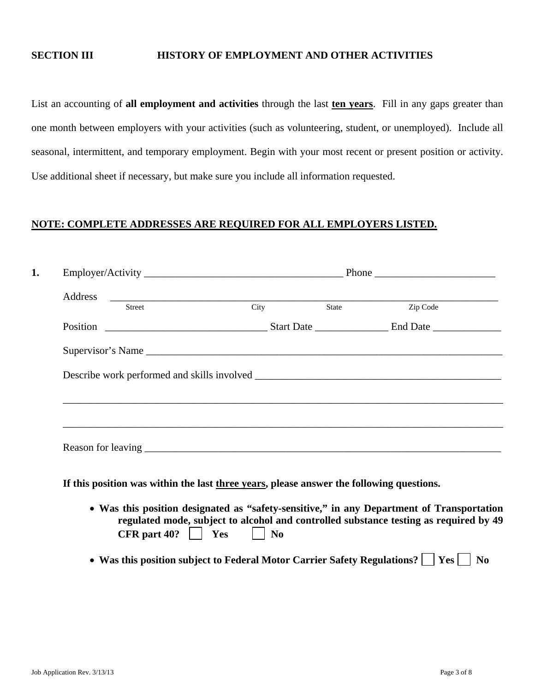### **SECTION III HISTORY OF EMPLOYMENT AND OTHER ACTIVITIES**

List an accounting of **all employment and activities** through the last **ten years**. Fill in any gaps greater than one month between employers with your activities (such as volunteering, student, or unemployed). Include all seasonal, intermittent, and temporary employment. Begin with your most recent or present position or activity. Use additional sheet if necessary, but make sure you include all information requested.

### **NOTE: COMPLETE ADDRESSES ARE REQUIRED FOR ALL EMPLOYERS LISTED.**

| <b>Street</b> | City | State | Zip Code |
|---------------|------|-------|----------|
|               |      |       |          |
|               |      |       |          |
|               |      |       |          |
|               |      |       |          |
|               |      |       |          |
|               |      |       |          |

**If this position was within the last three years, please answer the following questions.** 

- **Was this position designated as "safety-sensitive," in any Department of Transportation regulated mode, subject to alcohol and controlled substance testing as required by 49 CFR** part 40?  $\vert$  **Yes**  $\vert$  **No**
- Was this position subject to Federal Motor Carrier Safety Regulations? | | Yes | | No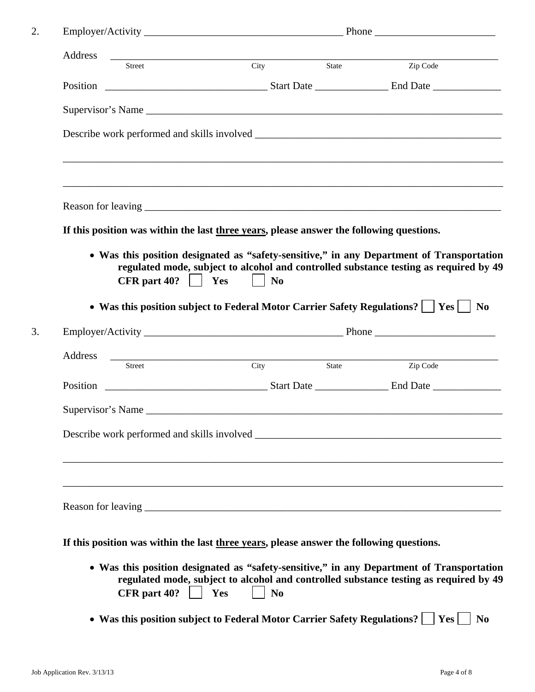| Address              |                                                                                                                                                                                                                                |                |
|----------------------|--------------------------------------------------------------------------------------------------------------------------------------------------------------------------------------------------------------------------------|----------------|
| Street               | City<br>State                                                                                                                                                                                                                  | Zip Code       |
|                      | Position Contract Contract Contract Contract Contract Contract Contract Contract Contract Contract Contract Contract Contract Contract Contract Contract Contract Contract Contract Contract Contract Contract Contract Contra |                |
|                      |                                                                                                                                                                                                                                |                |
|                      |                                                                                                                                                                                                                                |                |
|                      | ,我们也不能在这里的时候,我们也不能在这里的时候,我们也不能会在这里的时候,我们也不能会在这里的时候,我们也不能会在这里的时候,我们也不能会在这里的时候,我们也不                                                                                                                                              |                |
|                      |                                                                                                                                                                                                                                |                |
|                      | If this position was within the last three years, please answer the following questions.                                                                                                                                       |                |
| CFR part $40?$   Yes | $\vert$   No                                                                                                                                                                                                                   |                |
|                      | • Was this position subject to Federal Motor Carrier Safety Regulations?     Yes                                                                                                                                               | N <sub>0</sub> |
|                      |                                                                                                                                                                                                                                |                |
|                      |                                                                                                                                                                                                                                |                |
| Address              | Street City State                                                                                                                                                                                                              | Zip Code       |
| Supervisor's Name    |                                                                                                                                                                                                                                |                |
|                      |                                                                                                                                                                                                                                |                |
|                      |                                                                                                                                                                                                                                |                |
|                      |                                                                                                                                                                                                                                |                |
|                      | ,我们也不会有什么。""我们的人,我们也不会有什么?""我们的人,我们也不会有什么?""我们的人,我们也不会有什么?""我们的人,我们也不会有什么?""我们的人                                                                                                                                               |                |
|                      | If this position was within the last three years, please answer the following questions.                                                                                                                                       |                |
|                      | • Was this position designated as "safety-sensitive," in any Department of Transportation<br>regulated mode, subject to alcohol and controlled substance testing as required by 49                                             |                |

• Was this position subject to Federal Motor Carrier Safety Regulations?  $\Box$  Yes  $\Box$  No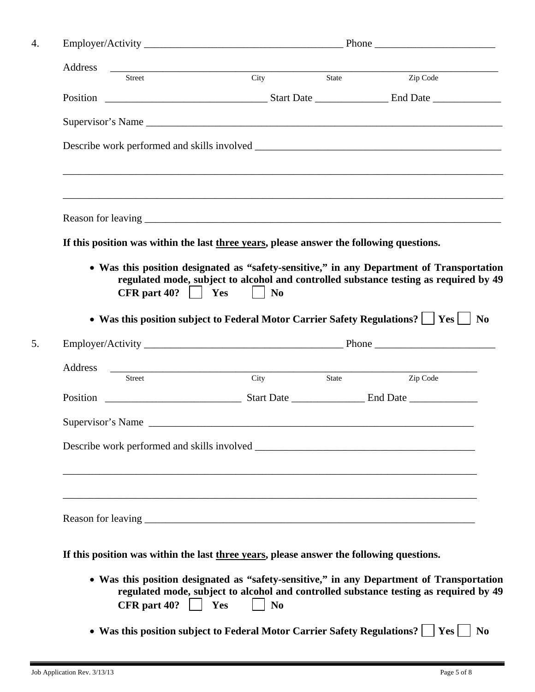| Address                                                                                                             | Street City State                                                        |                                                                                       |
|---------------------------------------------------------------------------------------------------------------------|--------------------------------------------------------------------------|---------------------------------------------------------------------------------------|
|                                                                                                                     |                                                                          | Zip Code                                                                              |
|                                                                                                                     |                                                                          |                                                                                       |
|                                                                                                                     |                                                                          |                                                                                       |
|                                                                                                                     |                                                                          |                                                                                       |
| If this position was within the last three years, please answer the following questions.                            |                                                                          |                                                                                       |
| • Was this position designated as "safety-sensitive," in any Department of Transportation<br>CFR part $40?$   Yes   | N <sub>0</sub>                                                           | regulated mode, subject to alcohol and controlled substance testing as required by 49 |
| • Was this position subject to Federal Motor Carrier Safety Regulations?     Yes                                    |                                                                          |                                                                                       |
|                                                                                                                     |                                                                          |                                                                                       |
| Address<br>Street City State                                                                                        |                                                                          | Zip Code                                                                              |
|                                                                                                                     |                                                                          |                                                                                       |
|                                                                                                                     |                                                                          |                                                                                       |
|                                                                                                                     |                                                                          |                                                                                       |
|                                                                                                                     |                                                                          |                                                                                       |
|                                                                                                                     |                                                                          |                                                                                       |
| If this position was within the last three years, please answer the following questions.                            |                                                                          |                                                                                       |
| • Was this position designated as "safety-sensitive," in any Department of Transportation<br>CFR part $40?$     Yes | N <sub>0</sub>                                                           | regulated mode, subject to alcohol and controlled substance testing as required by 49 |
|                                                                                                                     | • Was this position subject to Federal Motor Carrier Safety Regulations? | Yes                                                                                   |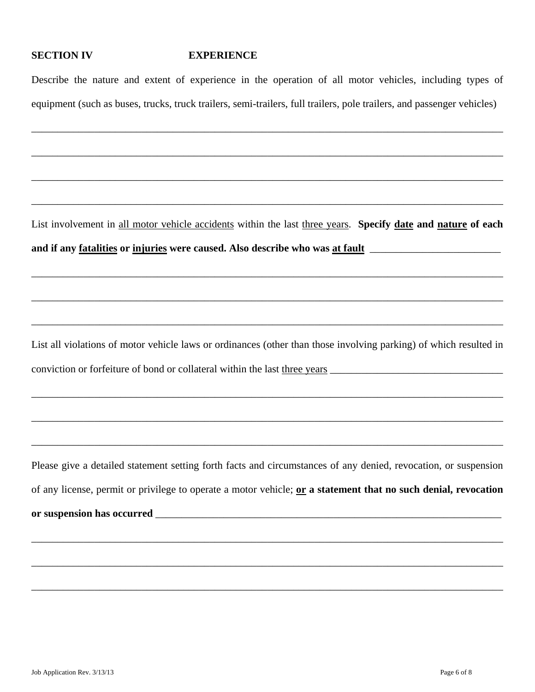### **SECTION IV EXPERIENCE**

Describe the nature and extent of experience in the operation of all motor vehicles, including types of equipment (such as buses, trucks, truck trailers, semi-trailers, full trailers, pole trailers, and passenger vehicles)

\_\_\_\_\_\_\_\_\_\_\_\_\_\_\_\_\_\_\_\_\_\_\_\_\_\_\_\_\_\_\_\_\_\_\_\_\_\_\_\_\_\_\_\_\_\_\_\_\_\_\_\_\_\_\_\_\_\_\_\_\_\_\_\_\_\_\_\_\_\_\_\_\_\_\_\_\_\_\_\_\_\_\_\_\_\_\_\_\_\_

\_\_\_\_\_\_\_\_\_\_\_\_\_\_\_\_\_\_\_\_\_\_\_\_\_\_\_\_\_\_\_\_\_\_\_\_\_\_\_\_\_\_\_\_\_\_\_\_\_\_\_\_\_\_\_\_\_\_\_\_\_\_\_\_\_\_\_\_\_\_\_\_\_\_\_\_\_\_\_\_\_\_\_\_\_\_\_\_\_\_

\_\_\_\_\_\_\_\_\_\_\_\_\_\_\_\_\_\_\_\_\_\_\_\_\_\_\_\_\_\_\_\_\_\_\_\_\_\_\_\_\_\_\_\_\_\_\_\_\_\_\_\_\_\_\_\_\_\_\_\_\_\_\_\_\_\_\_\_\_\_\_\_\_\_\_\_\_\_\_\_\_\_\_\_\_\_\_\_\_\_

\_\_\_\_\_\_\_\_\_\_\_\_\_\_\_\_\_\_\_\_\_\_\_\_\_\_\_\_\_\_\_\_\_\_\_\_\_\_\_\_\_\_\_\_\_\_\_\_\_\_\_\_\_\_\_\_\_\_\_\_\_\_\_\_\_\_\_\_\_\_\_\_\_\_\_\_\_\_\_\_\_\_\_\_\_\_\_\_\_\_

List involvement in all motor vehicle accidents within the last three years. **Specify date and nature of each** and if any fatalities or injuries were caused. Also describe who was at fault

\_\_\_\_\_\_\_\_\_\_\_\_\_\_\_\_\_\_\_\_\_\_\_\_\_\_\_\_\_\_\_\_\_\_\_\_\_\_\_\_\_\_\_\_\_\_\_\_\_\_\_\_\_\_\_\_\_\_\_\_\_\_\_\_\_\_\_\_\_\_\_\_\_\_\_\_\_\_\_\_\_\_\_\_\_\_\_\_\_\_

\_\_\_\_\_\_\_\_\_\_\_\_\_\_\_\_\_\_\_\_\_\_\_\_\_\_\_\_\_\_\_\_\_\_\_\_\_\_\_\_\_\_\_\_\_\_\_\_\_\_\_\_\_\_\_\_\_\_\_\_\_\_\_\_\_\_\_\_\_\_\_\_\_\_\_\_\_\_\_\_\_\_\_\_\_\_\_\_\_\_

\_\_\_\_\_\_\_\_\_\_\_\_\_\_\_\_\_\_\_\_\_\_\_\_\_\_\_\_\_\_\_\_\_\_\_\_\_\_\_\_\_\_\_\_\_\_\_\_\_\_\_\_\_\_\_\_\_\_\_\_\_\_\_\_\_\_\_\_\_\_\_\_\_\_\_\_\_\_\_\_\_\_\_\_\_\_\_\_\_\_

List all violations of motor vehicle laws or ordinances (other than those involving parking) of which resulted in conviction or forfeiture of bond or collateral within the last three years

\_\_\_\_\_\_\_\_\_\_\_\_\_\_\_\_\_\_\_\_\_\_\_\_\_\_\_\_\_\_\_\_\_\_\_\_\_\_\_\_\_\_\_\_\_\_\_\_\_\_\_\_\_\_\_\_\_\_\_\_\_\_\_\_\_\_\_\_\_\_\_\_\_\_\_\_\_\_\_\_\_\_\_\_\_\_\_\_\_\_

\_\_\_\_\_\_\_\_\_\_\_\_\_\_\_\_\_\_\_\_\_\_\_\_\_\_\_\_\_\_\_\_\_\_\_\_\_\_\_\_\_\_\_\_\_\_\_\_\_\_\_\_\_\_\_\_\_\_\_\_\_\_\_\_\_\_\_\_\_\_\_\_\_\_\_\_\_\_\_\_\_\_\_\_\_\_\_\_\_\_

\_\_\_\_\_\_\_\_\_\_\_\_\_\_\_\_\_\_\_\_\_\_\_\_\_\_\_\_\_\_\_\_\_\_\_\_\_\_\_\_\_\_\_\_\_\_\_\_\_\_\_\_\_\_\_\_\_\_\_\_\_\_\_\_\_\_\_\_\_\_\_\_\_\_\_\_\_\_\_\_\_\_\_\_\_\_\_\_\_\_

Please give a detailed statement setting forth facts and circumstances of any denied, revocation, or suspension of any license, permit or privilege to operate a motor vehicle; **or a statement that no such denial, revocation or suspension has occurred** \_\_\_\_\_\_\_\_\_\_\_\_\_\_\_\_\_\_\_\_\_\_\_\_\_\_\_\_\_\_\_\_\_\_\_\_\_\_\_\_\_\_\_\_\_\_\_\_\_\_\_\_\_\_\_\_\_\_\_\_\_\_\_\_\_\_

\_\_\_\_\_\_\_\_\_\_\_\_\_\_\_\_\_\_\_\_\_\_\_\_\_\_\_\_\_\_\_\_\_\_\_\_\_\_\_\_\_\_\_\_\_\_\_\_\_\_\_\_\_\_\_\_\_\_\_\_\_\_\_\_\_\_\_\_\_\_\_\_\_\_\_\_\_\_\_\_\_\_\_\_\_\_\_\_\_\_

\_\_\_\_\_\_\_\_\_\_\_\_\_\_\_\_\_\_\_\_\_\_\_\_\_\_\_\_\_\_\_\_\_\_\_\_\_\_\_\_\_\_\_\_\_\_\_\_\_\_\_\_\_\_\_\_\_\_\_\_\_\_\_\_\_\_\_\_\_\_\_\_\_\_\_\_\_\_\_\_\_\_\_\_\_\_\_\_\_\_

\_\_\_\_\_\_\_\_\_\_\_\_\_\_\_\_\_\_\_\_\_\_\_\_\_\_\_\_\_\_\_\_\_\_\_\_\_\_\_\_\_\_\_\_\_\_\_\_\_\_\_\_\_\_\_\_\_\_\_\_\_\_\_\_\_\_\_\_\_\_\_\_\_\_\_\_\_\_\_\_\_\_\_\_\_\_\_\_\_\_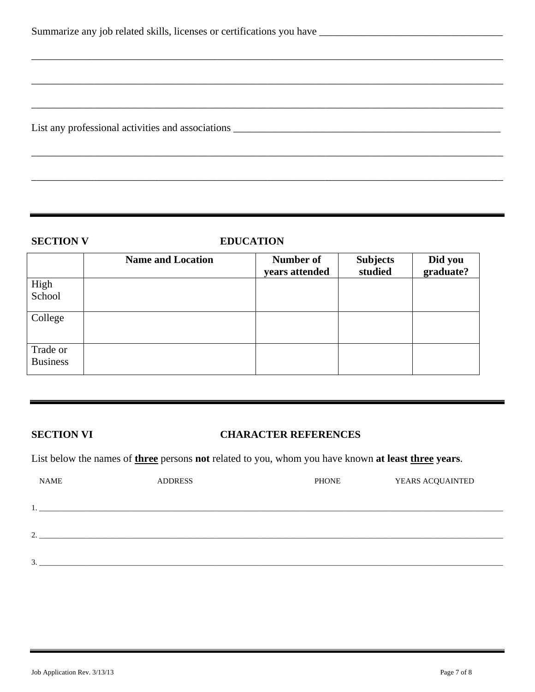|  |  |  |  | Summarize any job related skills, licenses or certifications you have |  |
|--|--|--|--|-----------------------------------------------------------------------|--|
|  |  |  |  |                                                                       |  |

List any professional activities and associations \_\_\_\_\_\_\_\_\_\_\_\_\_\_\_\_\_\_\_\_\_\_\_\_\_\_\_\_\_\_\_\_\_\_\_\_\_\_\_\_\_\_\_\_\_\_\_\_\_\_\_

### **SECTION V EDUCATION**

\_\_\_\_\_\_\_\_\_\_\_\_\_\_\_\_\_\_\_\_\_\_\_\_\_\_\_\_\_\_\_\_\_\_\_\_\_\_\_\_\_\_\_\_\_\_\_\_\_\_\_\_\_\_\_\_\_\_\_\_\_\_\_\_\_\_\_\_\_\_\_\_\_\_\_\_\_\_\_\_\_\_\_\_\_\_\_\_\_\_

\_\_\_\_\_\_\_\_\_\_\_\_\_\_\_\_\_\_\_\_\_\_\_\_\_\_\_\_\_\_\_\_\_\_\_\_\_\_\_\_\_\_\_\_\_\_\_\_\_\_\_\_\_\_\_\_\_\_\_\_\_\_\_\_\_\_\_\_\_\_\_\_\_\_\_\_\_\_\_\_\_\_\_\_\_\_\_\_\_\_

\_\_\_\_\_\_\_\_\_\_\_\_\_\_\_\_\_\_\_\_\_\_\_\_\_\_\_\_\_\_\_\_\_\_\_\_\_\_\_\_\_\_\_\_\_\_\_\_\_\_\_\_\_\_\_\_\_\_\_\_\_\_\_\_\_\_\_\_\_\_\_\_\_\_\_\_\_\_\_\_\_\_\_\_\_\_\_\_\_\_

\_\_\_\_\_\_\_\_\_\_\_\_\_\_\_\_\_\_\_\_\_\_\_\_\_\_\_\_\_\_\_\_\_\_\_\_\_\_\_\_\_\_\_\_\_\_\_\_\_\_\_\_\_\_\_\_\_\_\_\_\_\_\_\_\_\_\_\_\_\_\_\_\_\_\_\_\_\_\_\_\_\_\_\_\_\_\_\_\_\_

\_\_\_\_\_\_\_\_\_\_\_\_\_\_\_\_\_\_\_\_\_\_\_\_\_\_\_\_\_\_\_\_\_\_\_\_\_\_\_\_\_\_\_\_\_\_\_\_\_\_\_\_\_\_\_\_\_\_\_\_\_\_\_\_\_\_\_\_\_\_\_\_\_\_\_\_\_\_\_\_\_\_\_\_\_\_\_\_\_\_

|                             | <b>Name and Location</b> | Number of      | <b>Subjects</b> | Did you   |
|-----------------------------|--------------------------|----------------|-----------------|-----------|
|                             |                          | years attended | studied         | graduate? |
| High                        |                          |                |                 |           |
| School                      |                          |                |                 |           |
| College                     |                          |                |                 |           |
| Trade or<br><b>Business</b> |                          |                |                 |           |

### **SECTION VI CHARACTER REFERENCES**

List below the names of **three** persons **not** related to you, whom you have known **at least three years**.

| <b>NAME</b>   | <b>ADDRESS</b> | <b>PHONE</b> | YEARS ACQUAINTED |
|---------------|----------------|--------------|------------------|
|               |                |              |                  |
|               |                |              |                  |
|               |                |              |                  |
| $\gamma$<br>∼ |                |              |                  |
|               |                |              |                  |
| 3             |                |              |                  |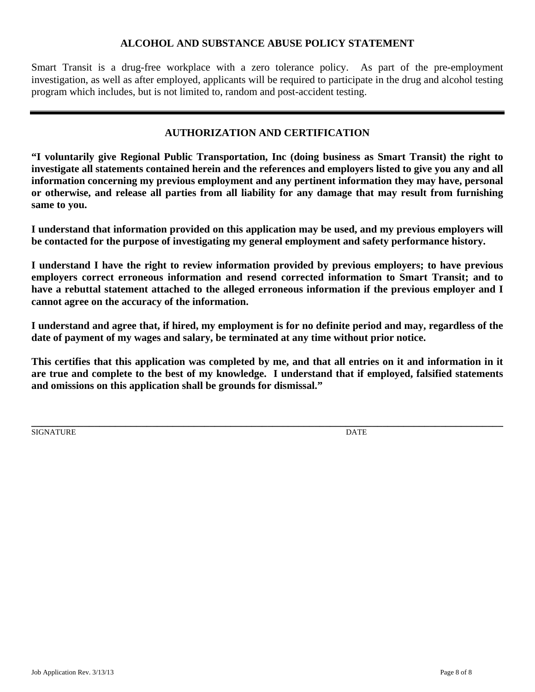### **ALCOHOL AND SUBSTANCE ABUSE POLICY STATEMENT**

Smart Transit is a drug-free workplace with a zero tolerance policy. As part of the pre-employment investigation, as well as after employed, applicants will be required to participate in the drug and alcohol testing program which includes, but is not limited to, random and post-accident testing.

### **AUTHORIZATION AND CERTIFICATION**

**"I voluntarily give Regional Public Transportation, Inc (doing business as Smart Transit) the right to investigate all statements contained herein and the references and employers listed to give you any and all information concerning my previous employment and any pertinent information they may have, personal or otherwise, and release all parties from all liability for any damage that may result from furnishing same to you.** 

**I understand that information provided on this application may be used, and my previous employers will be contacted for the purpose of investigating my general employment and safety performance history.** 

**I understand I have the right to review information provided by previous employers; to have previous employers correct erroneous information and resend corrected information to Smart Transit; and to have a rebuttal statement attached to the alleged erroneous information if the previous employer and I cannot agree on the accuracy of the information.** 

**I understand and agree that, if hired, my employment is for no definite period and may, regardless of the date of payment of my wages and salary, be terminated at any time without prior notice.** 

**This certifies that this application was completed by me, and that all entries on it and information in it are true and complete to the best of my knowledge. I understand that if employed, falsified statements and omissions on this application shall be grounds for dismissal."** 

SIGNATURE DATE

**\_\_\_\_\_\_\_\_\_\_\_\_\_\_\_\_\_\_\_\_\_\_\_\_\_\_\_\_\_\_\_\_\_\_\_\_\_\_\_\_\_\_\_\_\_\_\_\_\_\_\_\_\_\_\_\_\_\_\_\_\_\_\_\_\_\_\_\_\_\_\_\_\_\_\_\_\_\_\_\_\_\_\_\_\_\_\_\_\_\_**